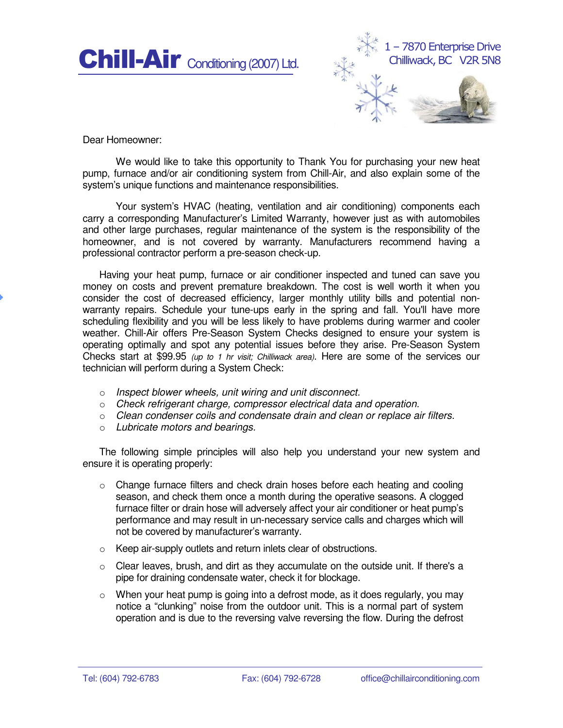



Dear Homeowner:

We would like to take this opportunity to Thank You for purchasing your new heat pump, furnace and/or air conditioning system from Chill-Air, and also explain some of the system's unique functions and maintenance responsibilities.

Your system's HVAC (heating, ventilation and air conditioning) components each carry a corresponding Manufacturer's Limited Warranty, however just as with automobiles and other large purchases, regular maintenance of the system is the responsibility of the homeowner, and is not covered by warranty. Manufacturers recommend having a professional contractor perform a pre-season check-up.

Having your heat pump, furnace or air conditioner inspected and tuned can save you money on costs and prevent premature breakdown. The cost is well worth it when you consider the cost of decreased efficiency, larger monthly utility bills and potential nonwarranty repairs. Schedule your tune-ups early in the spring and fall. You'll have more scheduling flexibility and you will be less likely to have problems during warmer and cooler weather. Chill-Air offers Pre-Season System Checks designed to ensure your system is operating optimally and spot any potential issues before they arise. Pre-Season System Checks start at \$99.95 (up to 1 hr visit; Chilliwack area). Here are some of the services our technician will perform during a System Check:

- o Inspect blower wheels, unit wiring and unit disconnect.
- o Check refrigerant charge, compressor electrical data and operation.
- $\circ$  Clean condenser coils and condensate drain and clean or replace air filters.
- o Lubricate motors and bearings.

The following simple principles will also help you understand your new system and ensure it is operating properly:

- o Change furnace filters and check drain hoses before each heating and cooling season, and check them once a month during the operative seasons. A clogged furnace filter or drain hose will adversely affect your air conditioner or heat pump's performance and may result in un-necessary service calls and charges which will not be covered by manufacturer's warranty.
- o Keep air-supply outlets and return inlets clear of obstructions.
- o Clear leaves, brush, and dirt as they accumulate on the outside unit. If there's a pipe for draining condensate water, check it for blockage.
- $\circ$  When your heat pump is going into a defrost mode, as it does regularly, you may notice a "clunking" noise from the outdoor unit. This is a normal part of system operation and is due to the reversing valve reversing the flow. During the defrost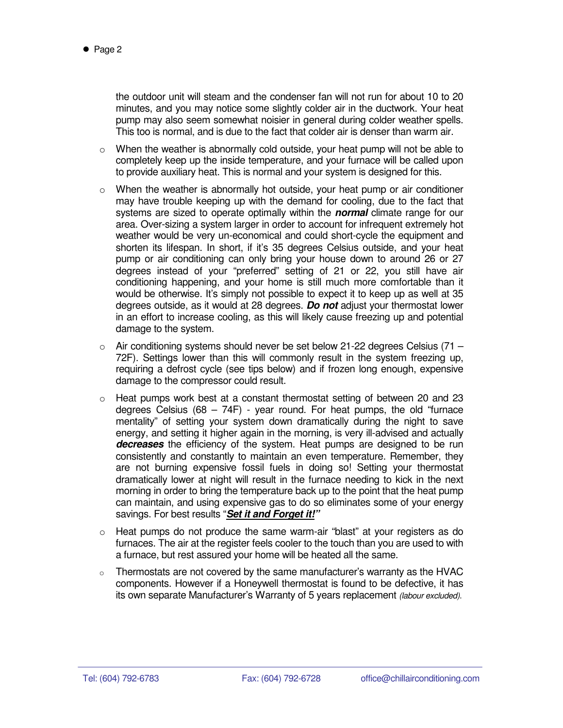the outdoor unit will steam and the condenser fan will not run for about 10 to 20 minutes, and you may notice some slightly colder air in the ductwork. Your heat pump may also seem somewhat noisier in general during colder weather spells. This too is normal, and is due to the fact that colder air is denser than warm air.

- $\circ$  When the weather is abnormally cold outside, your heat pump will not be able to completely keep up the inside temperature, and your furnace will be called upon to provide auxiliary heat. This is normal and your system is designed for this.
- $\circ$  When the weather is abnormally hot outside, your heat pump or air conditioner may have trouble keeping up with the demand for cooling, due to the fact that systems are sized to operate optimally within the **normal** climate range for our area. Over-sizing a system larger in order to account for infrequent extremely hot weather would be very un-economical and could short-cycle the equipment and shorten its lifespan. In short, if it's 35 degrees Celsius outside, and your heat pump or air conditioning can only bring your house down to around 26 or 27 degrees instead of your "preferred" setting of 21 or 22, you still have air conditioning happening, and your home is still much more comfortable than it would be otherwise. It's simply not possible to expect it to keep up as well at 35 degrees outside, as it would at 28 degrees. **Do not** adjust your thermostat lower in an effort to increase cooling, as this will likely cause freezing up and potential damage to the system.
- $\circ$  Air conditioning systems should never be set below 21-22 degrees Celsius (71 72F). Settings lower than this will commonly result in the system freezing up, requiring a defrost cycle (see tips below) and if frozen long enough, expensive damage to the compressor could result.
- $\circ$  Heat pumps work best at a constant thermostat setting of between 20 and 23 degrees Celsius  $(68 - 74F)$  - year round. For heat pumps, the old "furnace" mentality" of setting your system down dramatically during the night to save energy, and setting it higher again in the morning, is very ill-advised and actually decreases the efficiency of the system. Heat pumps are designed to be run consistently and constantly to maintain an even temperature. Remember, they are not burning expensive fossil fuels in doing so! Setting your thermostat dramatically lower at night will result in the furnace needing to kick in the next morning in order to bring the temperature back up to the point that the heat pump can maintain, and using expensive gas to do so eliminates some of your energy savings. For best results "**Set it and Forget it!"**
- $\circ$  Heat pumps do not produce the same warm-air "blast" at your registers as do furnaces. The air at the register feels cooler to the touch than you are used to with a furnace, but rest assured your home will be heated all the same.
- o Thermostats are not covered by the same manufacturer's warranty as the HVAC components. However if a Honeywell thermostat is found to be defective, it has its own separate Manufacturer's Warranty of 5 years replacement (labour excluded).